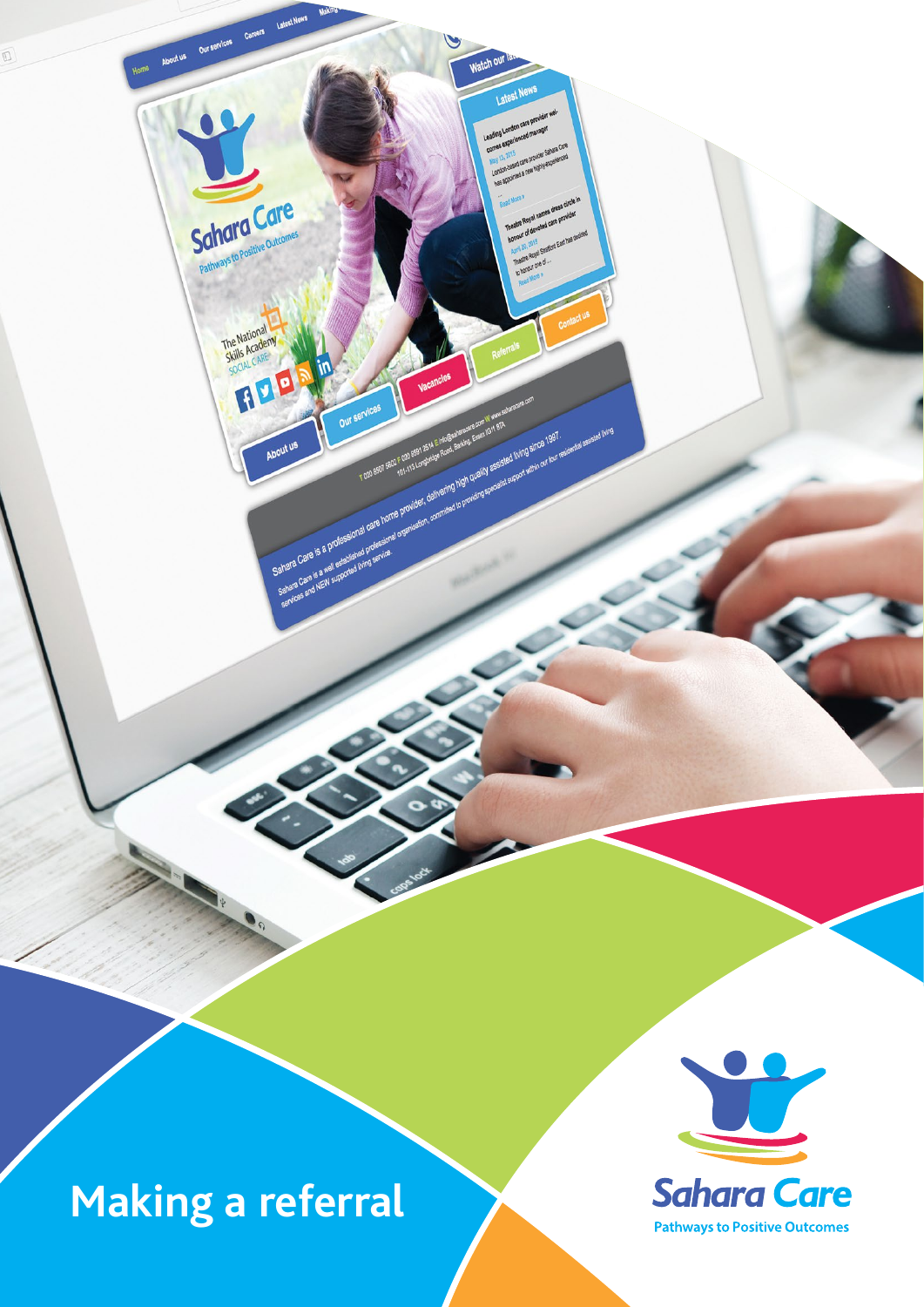**Making a referral**

About us Our services

**Schara Care** Pathways to Positive Of

The National

SOCIAL CARE

Sahara Care is a profession and prior<br>Sahara Care is a well educated biring the<br>services and NEW supported biring

 $\overline{D}$ 

 $\bullet$ 

Sahara Care is a professional care home environ creation contractor provider and the manufacture in the second care is a professional care is a professional care in the second care is a second care in the second care is a

precing specialist support which our pair residential assisted hing<br>Especially assisted (hing since 1997)<br>Noteros specialist support which our pair residential assisted hing

**Match OUT**